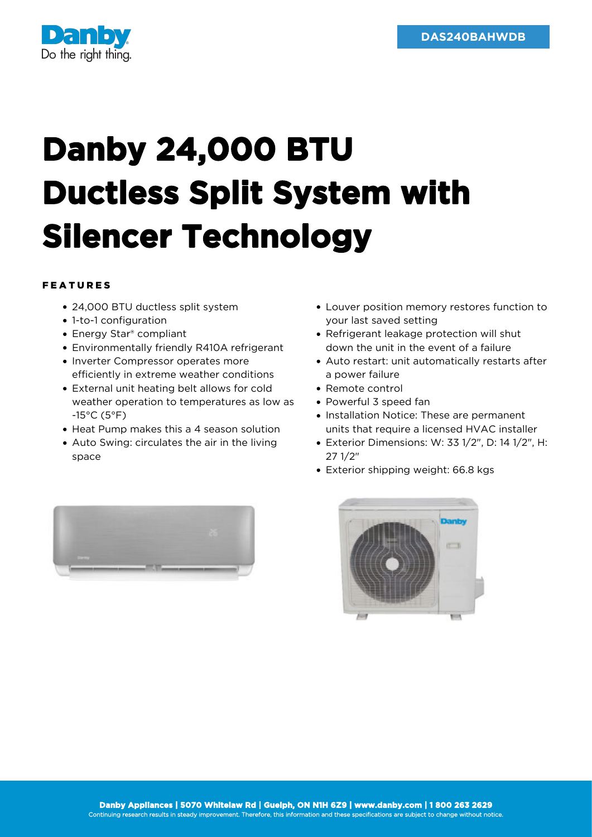

## **Danby 24,000 BTU Ductless Split System with Silencer Technology**

## FEATURES

- 24,000 BTU ductless split system
- 1-to-1 configuration
- Energy Star® compliant
- Environmentally friendly R410A refrigerant
- Inverter Compressor operates more efficiently in extreme weather conditions
- External unit heating belt allows for cold weather operation to temperatures as low as -15°C (5°F)
- Heat Pump makes this a 4 season solution
- Auto Swing: circulates the air in the living space
- Louver position memory restores function to your last saved setting
- Refrigerant leakage protection will shut down the unit in the event of a failure
- Auto restart: unit automatically restarts after a power failure
- Remote control
- Powerful 3 speed fan
- Installation Notice: These are permanent units that require a licensed HVAC installer
- Exterior Dimensions: W: 33 1/2", D: 14 1/2", H: 27 1/2"
- Exterior shipping weight: 66.8 kgs